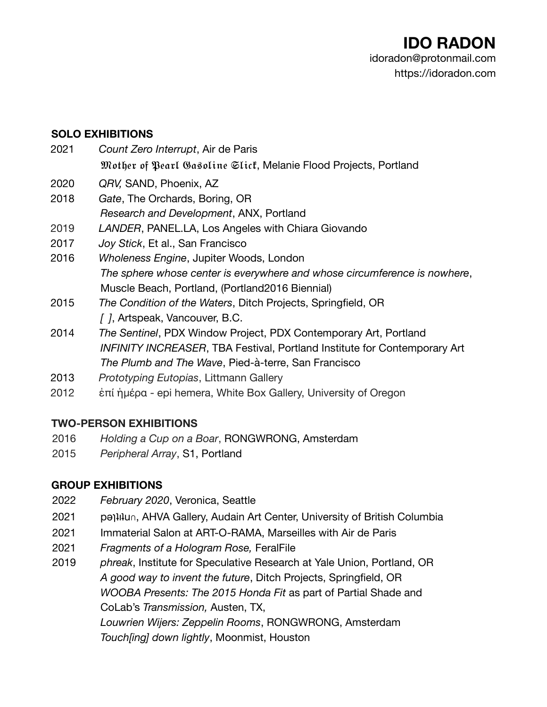#### **SOLO EXHIBITIONS**

- 2021 *Count Zero Interrupt*, Air de Paris
	- Mother of Pearl Gasoline Slict, Melanie Flood Projects, Portland
- 2020 *QRV,* SAND, Phoenix, AZ
- 2018 *Gate*, The Orchards, Boring, OR *Research and Development*, ANX, Portland
- 2019 *LANDER*, PANEL.LA, Los Angeles with Chiara Giovando
- 2017 *Joy Stick*, Et al., San Francisco
- 2016 *Wholeness Engine*, Jupiter Woods, London *The sphere whose center is everywhere and whose circumference is nowhere*, Muscle Beach, Portland, (Portland2016 Biennial)
- 2015 *The Condition of the Waters*, Ditch Projects, Springfield, OR *[ ]*, Artspeak, Vancouver, B.C.
- 2014 *The Sentinel*, PDX Window Project, PDX Contemporary Art, Portland *INFINITY INCREASER*, TBA Festival, Portland Institute for Contemporary Art *The Plumb and The Wave*, Pied-à-terre, San Francisco
- 2013 *Prototyping Eutopias*, Littmann Gallery
- 2012 ἐπί ἡμέρα epi hemera, White Box Gallery, University of Oregon

### **TWO-PERSON EXHIBITIONS**

- 2016 *Holding a Cup on a Boar*, RONGWRONG, Amsterdam
- 2015 *Peripheral Array*, S1, Portland

### **GROUP EXHIBITIONS**

- 2022 *February 2020*, Veronica, Seattle
- 2021 pequiu∩, AHVA Gallery, Audain Art Center, University of British Columbia
- 2021 Immaterial Salon at ART-O-RAMA, Marseilles with Air de Paris
- 2021 *Fragments of a Hologram Rose,* FeralFile
- 2019 *phreak*, Institute for Speculative Research at Yale Union, Portland, OR *A good way to invent the future*, Ditch Projects, Springfield, OR *WOOBA Presents: The 2015 Honda Fit* as part of Partial Shade and CoLab's *Transmission,* Austen, TX, *Louwrien Wijers: Zeppelin Rooms*, RONGWRONG, Amsterdam *Touch[ing] down lightly*, Moonmist, Houston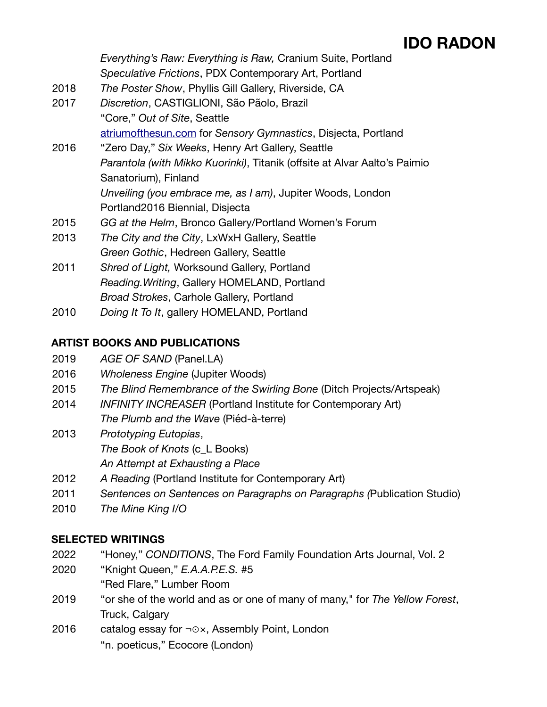*Everything's Raw: Everything is Raw,* Cranium Suite, Portland *Speculative Frictions*, PDX Contemporary Art, Portland

- 2018 *The Poster Show*, Phyllis Gill Gallery, Riverside, CA
- 2017 *Discretion*, CASTIGLIONI, São Pãolo, Brazil "Core," *Out of Site*, Seattle [atriumofthesun.com](http://atriumofthesun.com) for *Sensory Gymnastics*, Disjecta, Portland
- 2016 "Zero Day," *Six Weeks*, Henry Art Gallery, Seattle *Parantola (with Mikko Kuorinki)*, Titanik (offsite at Alvar Aalto's Paimio Sanatorium), Finland *Unveiling (you embrace me, as I am)*, Jupiter Woods, London Portland2016 Biennial, Disjecta
- 2015 *GG at the Helm*, Bronco Gallery/Portland Women's Forum
- 2013 *The City and the City*, LxWxH Gallery, Seattle *Green Gothic*, Hedreen Gallery, Seattle
- 2011 *Shred of Light,* Worksound Gallery, Portland *Reading.Writing*, Gallery HOMELAND, Portland *Broad Strokes*, Carhole Gallery, Portland
- 2010 *Doing It To It*, gallery HOMELAND, Portland

### **ARTIST BOOKS AND PUBLICATIONS**

- 2019 *AGE OF SAND* (Panel.LA)
- 2016 *Wholeness Engine* (Jupiter Woods)
- 2015 *The Blind Remembrance of the Swirling Bone* (Ditch Projects/Artspeak)
- 2014 *INFINITY INCREASER* (Portland Institute for Contemporary Art) *The Plumb and the Wave* (Piéd-à-terre)
- 2013 *Prototyping Eutopias*, *The Book of Knots* (c\_L Books) *An Attempt at Exhausting a Place*
- 2012 *A Reading* (Portland Institute for Contemporary Art)
- 2011 *Sentences on Sentences on Paragraphs on Paragraphs (*Publication Studio)
- 2010 *The Mine King I/O*

### **SELECTED WRITINGS**

- 2022 "Honey," *CONDITIONS*, The Ford Family Foundation Arts Journal, Vol. 2
- 2020 "Knight Queen," *E.A.A.P.E.S.* #5 "Red Flare," Lumber Room
- 2019 "or she of the world and as or one of many of many," for *The Yellow Forest*, Truck, Calgary
- 2016 catalog essay for ¬⊙×, Assembly Point, London "n. poeticus," Ecocore (London)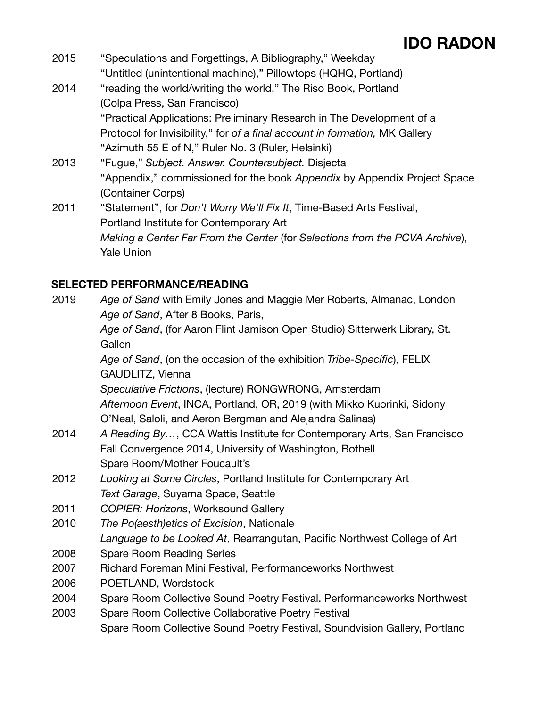- 2015 "Speculations and Forgettings, A Bibliography," Weekday "Untitled (unintentional machine)," Pillowtops (HQHQ, Portland)
- 2014 "reading the world/writing the world," The Riso Book, Portland (Colpa Press, San Francisco) "Practical Applications: Preliminary Research in The Development of a Protocol for Invisibility," for *of a final account in formation,* MK Gallery "Azimuth 55 E of N," Ruler No. 3 (Ruler, Helsinki)
- 2013 "Fugue," *Subject. Answer. Countersubject.* Disjecta "Appendix," commissioned for the book *Appendix* by Appendix Project Space (Container Corps)
- 2011 "Statement", for *Don't Worry We'll Fix It*, Time-Based Arts Festival, Portland Institute for Contemporary Art *Making a Center Far From the Center* (for *Selections from the PCVA Archive*), Yale Union

### **SELECTED PERFORMANCE/READING**

| 2019 | Age of Sand with Emily Jones and Maggie Mer Roberts, Almanac, London       |
|------|----------------------------------------------------------------------------|
|      | Age of Sand, After 8 Books, Paris,                                         |
|      | Age of Sand, (for Aaron Flint Jamison Open Studio) Sitterwerk Library, St. |
|      | Gallen                                                                     |
|      | Age of Sand, (on the occasion of the exhibition Tribe-Specific), FELIX     |
|      | GAUDLITZ, Vienna                                                           |
|      | Speculative Frictions, (lecture) RONGWRONG, Amsterdam                      |
|      | Afternoon Event, INCA, Portland, OR, 2019 (with Mikko Kuorinki, Sidony     |
|      | O'Neal, Saloli, and Aeron Bergman and Alejandra Salinas)                   |
| 2014 | A Reading By, CCA Wattis Institute for Contemporary Arts, San Francisco    |
|      | Fall Convergence 2014, University of Washington, Bothell                   |
|      | Spare Room/Mother Foucault's                                               |
| 2012 | Looking at Some Circles, Portland Institute for Contemporary Art           |
|      | Text Garage, Suyama Space, Seattle                                         |
| 2011 | <b>COPIER: Horizons, Worksound Gallery</b>                                 |
| 2010 | The Po(aesth)etics of Excision, Nationale                                  |
|      | Language to be Looked At, Rearrangutan, Pacific Northwest College of Art   |
| 2008 | <b>Spare Room Reading Series</b>                                           |
| 2007 | Richard Foreman Mini Festival, Performanceworks Northwest                  |
| 2006 | POETLAND, Wordstock                                                        |
| 2004 | Spare Room Collective Sound Poetry Festival. Performanceworks Northwest    |
| 2003 | Spare Room Collective Collaborative Poetry Festival                        |
|      | Spare Room Collective Sound Poetry Festival, Soundvision Gallery, Portland |